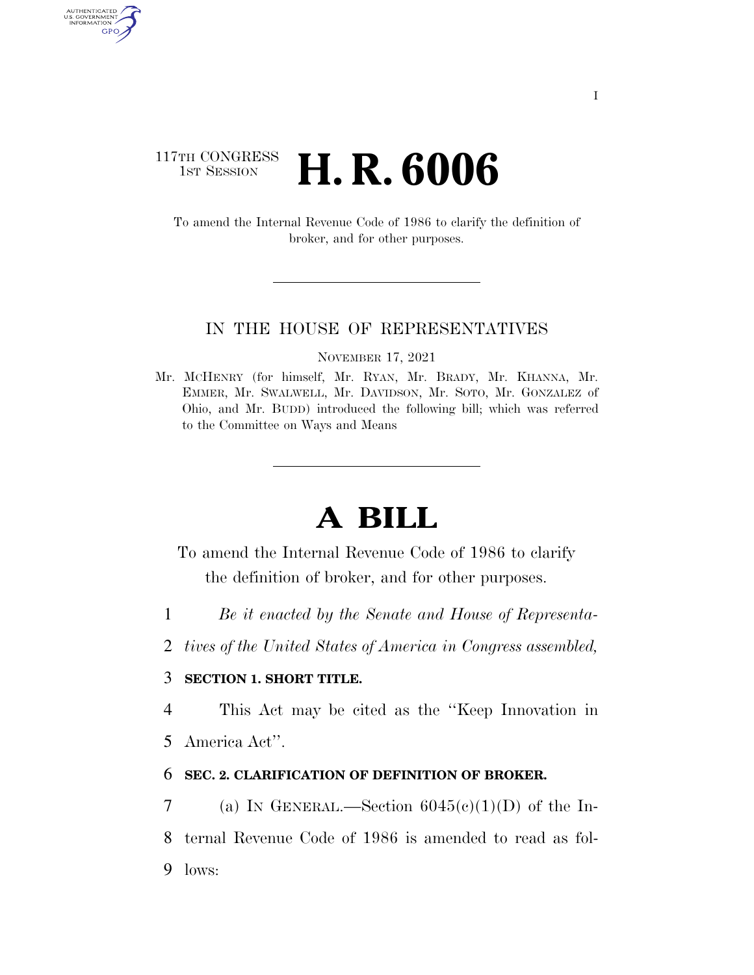### 117TH CONGRESS **1ST SESSION <b>H. R. 6006**

AUTHENTICATED<br>U.S. GOVERNMENT<br>INFORMATION GPO

> To amend the Internal Revenue Code of 1986 to clarify the definition of broker, and for other purposes.

#### IN THE HOUSE OF REPRESENTATIVES

NOVEMBER 17, 2021

Mr. MCHENRY (for himself, Mr. RYAN, Mr. BRADY, Mr. KHANNA, Mr. EMMER, Mr. SWALWELL, Mr. DAVIDSON, Mr. SOTO, Mr. GONZALEZ of Ohio, and Mr. BUDD) introduced the following bill; which was referred to the Committee on Ways and Means

# **A BILL**

To amend the Internal Revenue Code of 1986 to clarify the definition of broker, and for other purposes.

- 1 *Be it enacted by the Senate and House of Representa-*
- 2 *tives of the United States of America in Congress assembled,*

#### 3 **SECTION 1. SHORT TITLE.**

4 This Act may be cited as the ''Keep Innovation in

5 America Act''.

#### 6 **SEC. 2. CLARIFICATION OF DEFINITION OF BROKER.**

7 (a) IN GENERAL.—Section  $6045(c)(1)(D)$  of the In-8 ternal Revenue Code of 1986 is amended to read as fol-9 lows: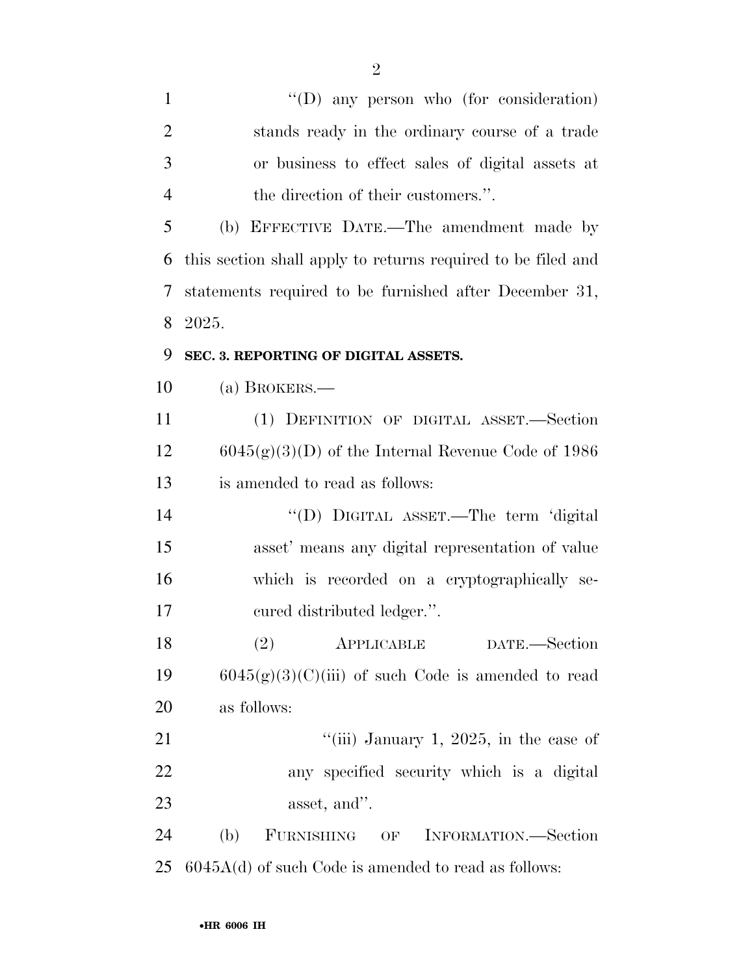| $\mathbf{1}$   | "(D) any person who (for consideration)                      |
|----------------|--------------------------------------------------------------|
| $\overline{2}$ | stands ready in the ordinary course of a trade               |
| 3              | or business to effect sales of digital assets at             |
| $\overline{4}$ | the direction of their customers.".                          |
| 5              | (b) EFFECTIVE DATE.—The amendment made by                    |
| 6              | this section shall apply to returns required to be filed and |
| 7              | statements required to be furnished after December 31,       |
| 8              | 2025.                                                        |
| 9              | SEC. 3. REPORTING OF DIGITAL ASSETS.                         |
| 10             | (a) BROKERS.—                                                |
| 11             | (1) DEFINITION OF DIGITAL ASSET.-Section                     |
| 12             | $6045(g)(3)(D)$ of the Internal Revenue Code of 1986         |
| 13             | is amended to read as follows:                               |
| 14             | "(D) DIGITAL ASSET.—The term 'digital                        |
| 15             | asset' means any digital representation of value             |
| 16             | which is recorded on a cryptographically se-                 |
| 17             | cured distributed ledger.".                                  |
| 18             | (2) APPLICABLE<br>DATE.-Section                              |
| 19             | $6045(g)(3)(C)(iii)$ of such Code is amended to read         |
| 20             | as follows:                                                  |
| 21             | "(iii) January 1, 2025, in the case of                       |
| 22             | any specified security which is a digital                    |
| 23             | asset, and".                                                 |
| 24             | (b)<br>FURNISHING<br>INFORMATION.—Section<br>OF              |
| 25             | $6045A(d)$ of such Code is amended to read as follows:       |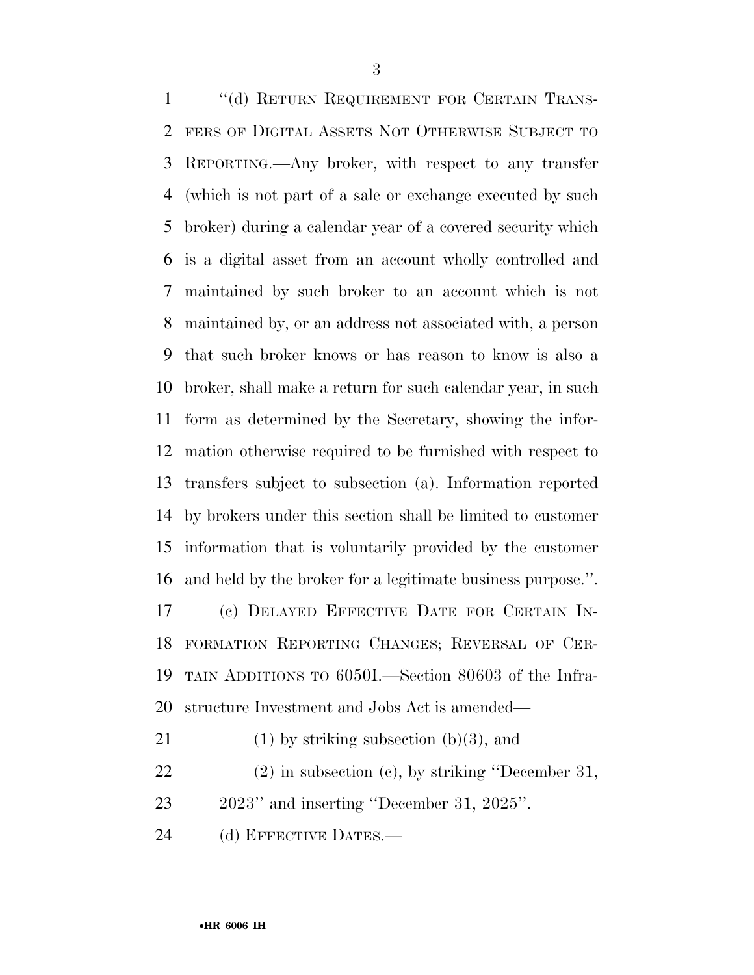1 "(d) RETURN REQUIREMENT FOR CERTAIN TRANS- FERS OF DIGITAL ASSETS NOT OTHERWISE SUBJECT TO REPORTING.—Any broker, with respect to any transfer (which is not part of a sale or exchange executed by such broker) during a calendar year of a covered security which is a digital asset from an account wholly controlled and maintained by such broker to an account which is not maintained by, or an address not associated with, a person that such broker knows or has reason to know is also a broker, shall make a return for such calendar year, in such form as determined by the Secretary, showing the infor- mation otherwise required to be furnished with respect to transfers subject to subsection (a). Information reported by brokers under this section shall be limited to customer information that is voluntarily provided by the customer and held by the broker for a legitimate business purpose.''. (c) DELAYED EFFECTIVE DATE FOR CERTAIN IN- FORMATION REPORTING CHANGES; REVERSAL OF CER-TAIN ADDITIONS TO 6050I.—Section 80603 of the Infra-

- structure Investment and Jobs Act is amended—
- 21 (1) by striking subsection  $(b)(3)$ , and
- (2) in subsection (c), by striking ''December 31, 2023'' and inserting ''December 31, 2025''.
- 24 (d) EFFECTIVE DATES.—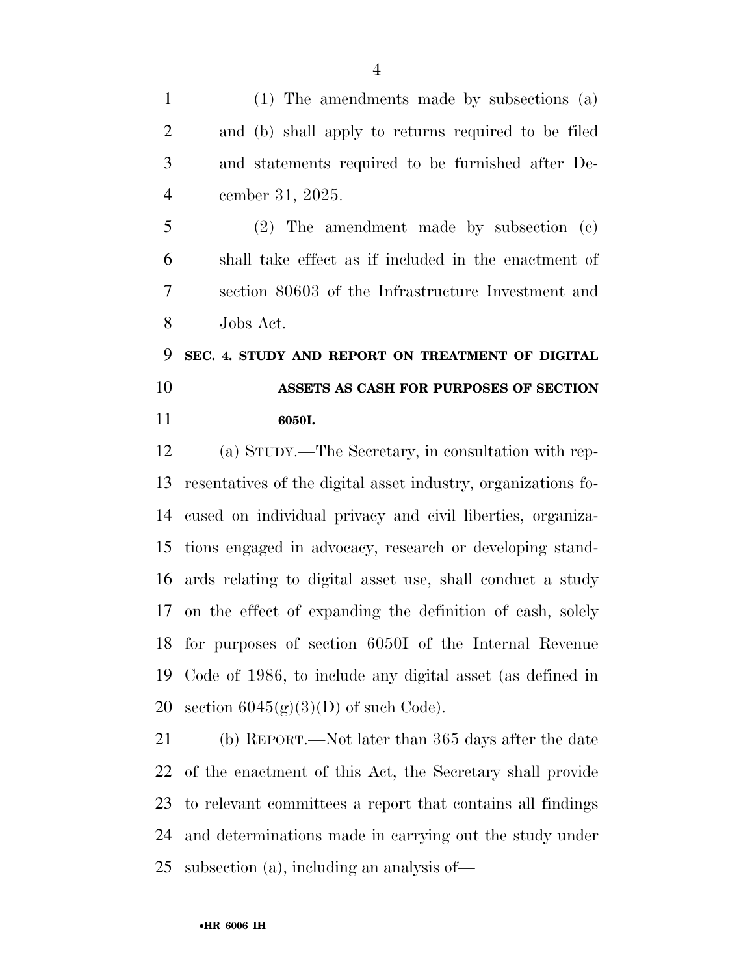(1) The amendments made by subsections (a) and (b) shall apply to returns required to be filed and statements required to be furnished after De-cember 31, 2025.

 (2) The amendment made by subsection (c) shall take effect as if included in the enactment of section 80603 of the Infrastructure Investment and Jobs Act.

## **SEC. 4. STUDY AND REPORT ON TREATMENT OF DIGITAL ASSETS AS CASH FOR PURPOSES OF SECTION 6050I.**

 (a) STUDY.—The Secretary, in consultation with rep- resentatives of the digital asset industry, organizations fo- cused on individual privacy and civil liberties, organiza- tions engaged in advocacy, research or developing stand- ards relating to digital asset use, shall conduct a study on the effect of expanding the definition of cash, solely for purposes of section 6050I of the Internal Revenue Code of 1986, to include any digital asset (as defined in 20 section  $6045(g)(3)(D)$  of such Code).

 (b) REPORT.—Not later than 365 days after the date of the enactment of this Act, the Secretary shall provide to relevant committees a report that contains all findings and determinations made in carrying out the study under subsection (a), including an analysis of—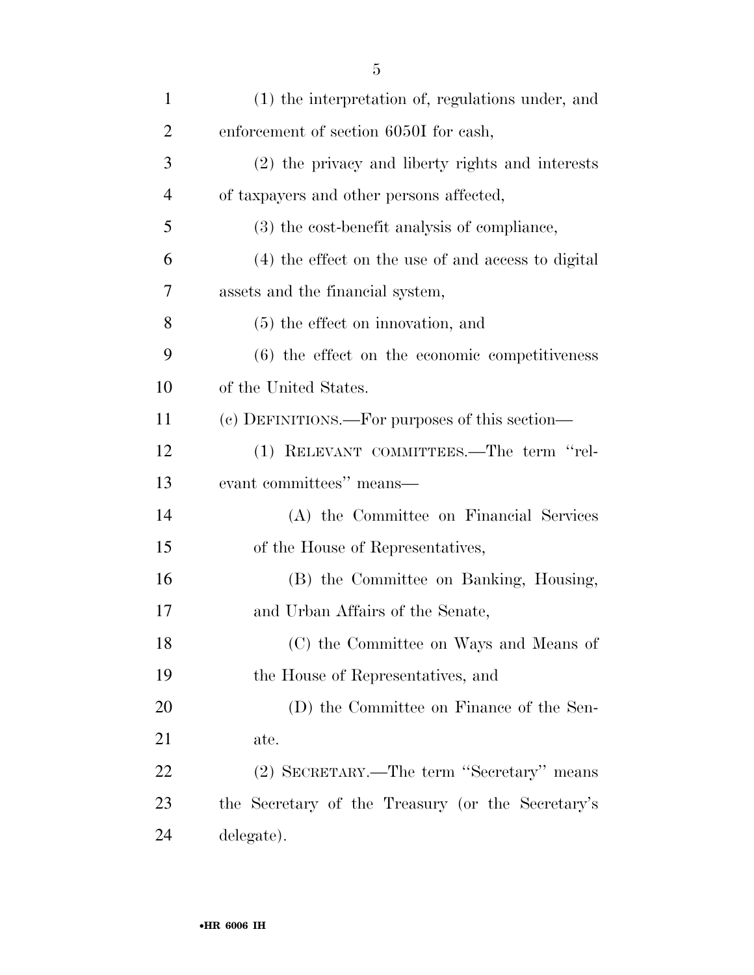| $\mathbf{1}$   | (1) the interpretation of, regulations under, and  |
|----------------|----------------------------------------------------|
| $\overline{2}$ | enforcement of section 6050I for cash,             |
| 3              | (2) the privacy and liberty rights and interests   |
| $\overline{4}$ | of taxpayers and other persons affected,           |
| 5              | (3) the cost-benefit analysis of compliance,       |
| 6              | (4) the effect on the use of and access to digital |
| 7              | assets and the financial system,                   |
| 8              | $(5)$ the effect on innovation, and                |
| 9              | (6) the effect on the economic competitiveness     |
| 10             | of the United States.                              |
| 11             | (c) DEFINITIONS.—For purposes of this section—     |
| 12             | (1) RELEVANT COMMITTEES.—The term "rel-            |
| 13             | evant committees" means-                           |
| 14             | (A) the Committee on Financial Services            |
| 15             | of the House of Representatives,                   |
| 16             | (B) the Committee on Banking, Housing,             |
| 17             | and Urban Affairs of the Senate,                   |
| 18             | (C) the Committee on Ways and Means of             |
| 19             | the House of Representatives, and                  |
| 20             | (D) the Committee on Finance of the Sen-           |
| 21             | ate.                                               |
| 22             | (2) SECRETARY.—The term "Secretary" means          |
| 23             | the Secretary of the Treasury (or the Secretary's  |
| 24             | delegate).                                         |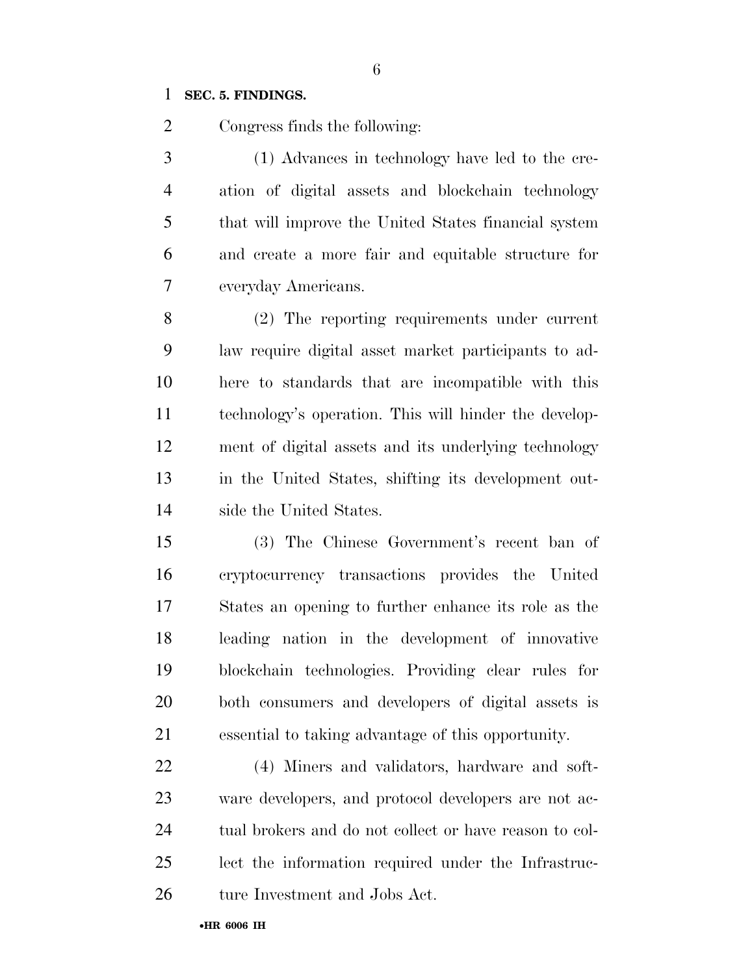#### **SEC. 5. FINDINGS.**

Congress finds the following:

 (1) Advances in technology have led to the cre- ation of digital assets and blockchain technology that will improve the United States financial system and create a more fair and equitable structure for everyday Americans.

 (2) The reporting requirements under current law require digital asset market participants to ad- here to standards that are incompatible with this technology's operation. This will hinder the develop- ment of digital assets and its underlying technology in the United States, shifting its development out-side the United States.

 (3) The Chinese Government's recent ban of cryptocurrency transactions provides the United States an opening to further enhance its role as the leading nation in the development of innovative blockchain technologies. Providing clear rules for both consumers and developers of digital assets is essential to taking advantage of this opportunity.

 (4) Miners and validators, hardware and soft- ware developers, and protocol developers are not ac- tual brokers and do not collect or have reason to col- lect the information required under the Infrastruc-26 ture Investment and Jobs Act.